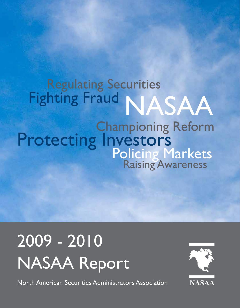# Regulating Securities Fighting Fraud NASAA Championing Reform Protecting Investors<br>Policing Markets<br>Raising Awareness

# 2009 - 2010 NASAA Report

North American Securities Administrators Association

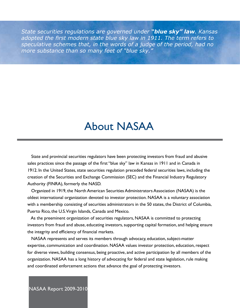*State securities regulations are governed under "blue sky" law. Kansas adopted the first modern state blue sky law in 1911. The term refers to speculative schemes that, in the words of a judge of the period, had no more substance than so many feet of "blue sky."* 

# About NASAA

 State and provincial securities regulators have been protecting investors from fraud and abusive sales practices since the passage of the first "blue sky" law in Kansas in 1911 and in Canada in 1912. In the United States, state securities regulation preceded federal securities laws, including the creation of the Securities and Exchange Commission (SEC) and the Financial Industry Regulatory Authority (FINRA), formerly the NASD.

 Organized in 1919, the North American Securities Administrators Association (NASAA) is the oldest international organization devoted to investor protection. NASAA is a voluntary association with a membership consisting of securities administrators in the 50 states, the District of Columbia, Puerto Rico, the U.S. Virgin Islands, Canada and Mexico.

 As the preeminent organization of securities regulators, NASAA is committed to protecting investors from fraud and abuse, educating investors, supporting capital formation, and helping ensure the integrity and efficiency of financial markets.

 NASAA represents and serves its members through advocacy, education, subject-matter expertise, communication and coordination. NASAA values investor protection, education, respect for diverse views, building consensus, being proactive, and active participation by all members of the organization. NASAA has a long history of advocating for federal and state legislation, rule making and coordinated enforcement actions that advance the goal of protecting investors.

NASAA Report 2009-2010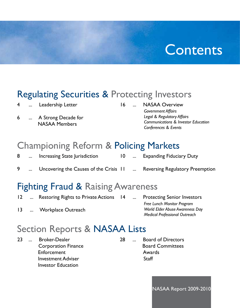# **Contents**

## Regulating Securities & Protecting Investors

4 ... Leadership Letter

6 ... A Strong Decade for NASAA Members

16 ... NASAA Overview *Government Affairs Legal & Regulatory Affairs Communications & Investor Education Conferences & Events*

## Championing Reform & Policing Markets

- 8 ... Increasing State Jurisdiction 10 ... Expanding Fiduciary Duty
- 9 ... Uncovering the Causes of the Crisis II ... **Reversing Regulatory Preemption**

## Fighting Fraud & Raising Awareness

**Protecting Senior Investors** *Free Lunch Monitor Program World Elder Abuse Awareness Day Medical Professional Outreach* 12 ... Restoring Rights to Private Actions 14 13 ... Workplace Outreach

# Section Reports & NASAA Lists

23 ... Broker-Dealer Corporation Finance Enforcement Investment Adviser Investor Education

28 ... Board of Directors Board Committees Awards **Staff** 

NASAA Report 2009-2010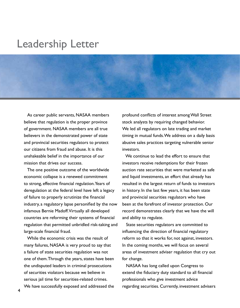# Leadership Letter

 As career public servants, NASAA members believe that regulation is the proper province of government. NASAA members are all true believers in the demonstrated power of state and provincial securities regulators to protect our citizens from fraud and abuse. It is this unshakeable belief in the importance of our mission that drives our success.

 The one positive outcome of the worldwide economic collapse is a renewed commitment to strong, effective financial regulation. Years of deregulation at the federal level have left a legacy of failure to properly scrutinize the financial industry, a regulatory lapse personified by the now infamous Bernie Madoff. Virtually all developed countries are reforming their systems of financial regulation that permitted unbridled risk-taking and large-scale financial fraud.

 While the economic crisis was the result of many failures, NASAA is very proud to say that a failure of state securities regulation was not one of them. Through the years, states have been the undisputed leaders in criminal prosecutions of securities violators because we believe in serious jail time for securities-related crimes.

We have successfully exposed and addressed the

profound conflicts of interest among Wall Street stock analysts by requiring changed behavior. We led all regulators on late trading and market timing in mutual funds. We address on a daily basis abusive sales practices targeting vulnerable senior investors.

We continue to lead the effort to ensure that investors receive redemptions for their frozen auction rate securities that were marketed as safe and liquid investments, an effort that already has resulted in the largest return of funds to investors in history. In the last few years, it has been state and provincial securities regulators who have been at the forefront of investor protection. Our record demonstrates clearly that we have the will and ability to regulate.

 State securities regulators are committed to influencing the direction of financial regulatory reform so that it works for, not against, investors. In the coming months, we will focus on several areas of investment adviser regulation that cry out for change.

 NASAA has long called upon Congress to extend the fiduciary duty standard to all financial professionals who give investment advice regarding securities. Currently, investment advisers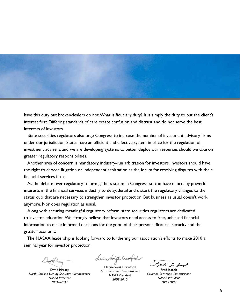

have this duty but broker-dealers do not. What is fiduciary duty? It is simply the duty to put the client's interest first. Differing standards of care create confusion and distrust and do not serve the best interests of investors.

 State securities regulators also urge Congress to increase the number of investment advisory firms under our jurisdiction. States have an efficient and effective system in place for the regulation of investment advisers, and we are developing systems to better deploy our resources should we take on greater regulatory responsibilities.

 Another area of concern is mandatory, industry-run arbitration for investors. Investors should have the right to choose litigation or independent arbitration as the forum for resolving disputes with their financial services firms.

 As the debate over regulatory reform gathers steam in Congress, so too have efforts by powerful interests in the financial services industry to delay, derail and distort the regulatory changes to the status quo that are necessary to strengthen investor protection. But business as usual doesn't work anymore. Nor does regulation as usual.

 Along with securing meaningful regulatory reform, state securities regulators are dedicated to investor education. We strongly believe that investors need access to free, unbiased financial information to make informed decisions for the good of their personal financial security and the greater economy.

 The NASAA leadership is looking forward to furthering our association's efforts to make 2010 a seminal year for investor protection.

David Massey *North Carolina Deputy Securities Commissioner NASAA President 20010-2011*

Lenise Voigt Crowford

Denise Voigt Crawford *Texas Securities Commissioner NASAA President 2009-2010*

Fred 2 grand

Fred Joseph *Colorado Securities Commissioner NASAA President 2008-2009*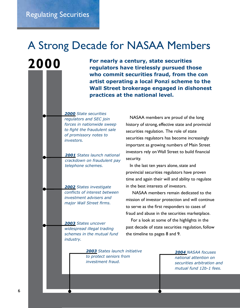**2000**

# A Strong Decade for NASAA Members

**For nearly a century, state securities regulators have tirelessly pursued those who commit securities fraud, from the con artist operating a local Ponzi scheme to the Wall Street brokerage engaged in dishonest practices at the national level.** 

*2000 State securities regulators and SEC join forces in nationwide sweep to fight the fraudulent sale of promissory notes to investors.*

*2001 States launch national crackdown on fraudulent pay telephone schemes.*

*2002 States investigate conflicts of interest between investment advisers and major Wall Street firms.*

*2003 States uncover widespread illegal trading schemes in the mutual fund industry.*

> *2003 States launch initiative to protect seniors from investment fraud.*

 NASAA members are proud of the long history of strong, effective state and provincial securities regulation. The role of state securities regulators has become increasingly important as growing numbers of Main Street investors rely on Wall Street to build financial security.

 In the last ten years alone, state and provincial securities regulators have proven time and again their will and ability to regulate in the best interests of investors.

 NASAA members remain dedicated to the mission of investor protection and will continue to serve as the first responders to cases of fraud and abuse in the securities marketplace.

 For a look at some of the highlights in the past decade of state securities regulation, follow the timeline to pages 8 and 9.

> *2004 NASAA focuses national attention on securities arbitration and mutual fund 12b-1 fees.*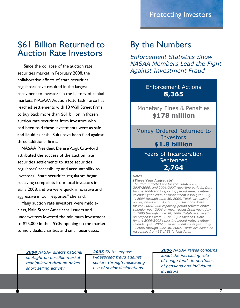# \$61 Billion Returned to By the Numbers<br>Auction Rate Investors Foforcement Statistic

 Since the collapse of the auction rate securities market in February 2008, the collaborative efforts of state securities regulators have resulted in the largest repayment to investors in the history of capital markets. NASAA's Auction Rate Task Force has reached settlements with 13 Wall Street firms to buy back more than \$61 billion in frozen auction rate securities from investors who had been told these investments were as safe and liquid as cash. Suits have been filed against three additional firms.

 NASAA President Denise Voigt Crawford attributed the success of the auction rate securities settlements to state securities regulators' accessibility and accountability to investors. "State securities regulators began receiving complaints from local investors in early 2008, and we were quick, innovative and aggressive in our response," she said.

 Many auction rate investors were middleclass, Main Street Americans. Issuers and underwriters lowered the minimum investment to \$25,000 in the 1990s, opening up the market to individuals, charities and small businesses.

*Enforcement Statistics Show NASAA Members Lead the Fight Against Investment Fraud*

> Enforcement Actions **8,365**

Monetary Fines & Penalties **\$178 million**

Money Ordered Returned to Investors **\$1.8 billion**

> Years of Incarceration **Sentenced 2,764**

#### *Notes*

**(Three Year Aggregate)** *The data reflected are for the 2004/2005, 2005/2006, and 2006/2007 reporting periods. Data for the 2004/2005 reporting period reflects either calendar year 2005 or most recent fiscal year, July 1, 2004 through June 30, 2005. Totals are based on responses from 42 of 53 jurisdictions. Data for the 2005/2006 reporting period reflects either calendar year 2006 or most recent fiscal year, July 1, 2005 through June 30, 2006. Totals are based on responses from 36 of 53 jurisdictions. Data for the 2006/2007 reporting period reflects either calendar year 2007 or most recent fiscal year, July 1, 2006 through June 30, 2007. Totals are based on responses from 35 of 53 jurisdictions.*

*2004 NASAA directs national spotlight on possible market manipulation through naked short selling activity.*

*2005 States expose widespread fraud against seniors through misleading use of senior designations.*

*2006 NASAA raises concerns about the increasing role of hedge funds in portfolios of pensions and individual investors.*

7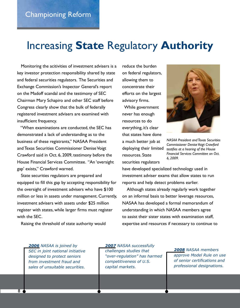# Increasing **State** Regulatory **Authority**

 Monitoring the acitivities of investment advisers is a key investor protection responsibility shared by state and federal securities regulators. The Securities and Exchange Commission's Inspector General's report on the Madoff scandal and the testimony of SEC Chairman Mary Schapiro and other SEC staff before Congress clearly show that the bulk of federally registered investment advisers are examined with insufficient frequency.

 "When examinations are conducted, the SEC has demonstrated a lack of understanding as to the business of these registrants," NASAA President and Texas Securities Commissioner Denise Voigt Crawford said in Oct. 6, 2009, testimony before the House Financial Services Committee. "An 'oversight gap' exists," Crawford warned.

 State securities regulators are prepared and equipped to fill this gap by accepting responsibility for the oversight of investment advisers who have \$100 million or less in assets under management. Currently, investment advisers with assets under \$25 million register with states, while larger firms must register with the SEC.

Raising the threshold of state authority would

reduce the burden on federal regulators, allowing them to concentrate their efforts on the largest advisory firms. While government never has enough resources to do everything, it's clear that states have done a much better job at deploying their limited resources. State securities regulators



*NASAA President and Texas Securities Commissioner Denise Voigt Crawford testifies at a hearing of the House Financial Services Committee on Oct. 6, 2009.*

have developed specialized technology used in investment adviser exams that allow states to run reports and help detect problems earlier.

 Although states already regularly work together on an informal basis to better leverage resources, NASAA has developed a formal memorandum of understanding in which NASAA members agree to assist their sister states with examination staff, expertise and resources if necessary to continue to

*2006 NASAA is joined by SEC in joint national initiative designed to protect seniors from investment fraud and sales of unsuitable securities.*

*2007 NASAA successfully challenges studies that "over-regulation" has harmed competitiveness of U.S. capital markets.*

*2008 NASAA members approve Model Rule on use of senior certifications and professional designations.*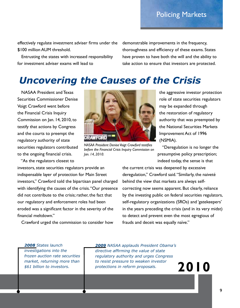Policing Markets

effectively regulate investment adviser firms under the \$100 million AUM threshold.

 Entrusting the states with increased responsibility for investment adviser exams will lead to

demonstrable improvements in the frequency, thoroughness and efficiency of these exams. States have proven to have both the will and the ability to take action to ensure that investors are protected.

## *Uncovering the Causes of the Crisis*

 NASAA President and Texas Securities Commissioner Denise Voigt Crawford went before the Financial Crisis Inquiry Commission on Jan. 14, 2010, to testify that actions by Congress and the courts to preempt the regulatory authority of state securities regulators contributed to the ongoing financial crisis.

"As the regulators closest to

investors, state securities regulators provide an indispensable layer of protection for Main Street investors," Crawford told the bipartisan panel charged with identifying the causes of the crisis. "Our presence did not contribute to the crisis; rather, the fact that our regulatory and enforcement roles had been eroded was a significant factor in the severity of the financial meltdown."

Crawford urged the commission to consider how



*NASAA President Denise Voigt Crawford testifies before the Financial Crisis Inquiry Commission on Jan. 14, 2010.* 

the aggressive investor protection role of state securities regulators may be expanded through the restoration of regulatory authority that was preempted by the National Securities Markets Improvement Act of 1996 (NSMIA).

 "Deregulation is no longer the presumptive policy prescription; indeed today, the sense is that

the current crisis was deepened by excessive deregulation," Crawford said. "Similarly, the naiveté behind the view that markets are always selfcorrecting now seems apparent. But clearly, reliance by the investing public on federal securities regulators, self-regulatory organizations (SROs) and 'gatekeepers' in the years preceding the crisis (and in its very midst) to detect and prevent even the most egregious of frauds and deceit was equally naïve."

*2008 States launch investigations into the frozen auction rate securities market, returning more than* 

*\$61 billion to investors.*

*2009 NASAA applauds President Obama's directive affirming the value of state regulatory authority and urges Congress to resist pressure to weaken investor protections in reform proposals.*

**2010**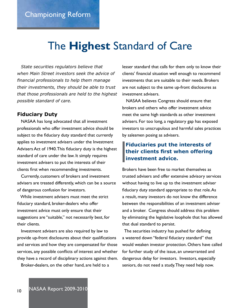# The **Highest** Standard of Care

Ì

 *State securities regulators believe that when Main Street investors seek the advice of financial professionals to help them manage their investments, they should be able to trust that those professionals are held to the highest possible standard of care.* 

#### **Fiduciary Duty**

 NASAA has long advocated that all investment professionals who offer investment advice should be subject to the fiduciary duty standard that currently applies to investment advisers under the Investment Advisers Act of 1940. This fiduciary duty is the highest standard of care under the law. It simply requires investment advisers to put the interests of their clients first when recommending investments.

 Currently, customers of brokers and investment advisers are treated differently, which can be a source of dangerous confusion for investors.

 While investment advisers must meet the strict fiduciary standard, broker-dealers who offer investment advice must only ensure that their suggestions are "suitable," not necessarily best, for their clients.

 Investment advisers are also required by law to provide up-front disclosures about their qualifications and services and how they are compensated for those services, any possible conflicts of interest and whether they have a record of disciplinary actions against them.

Broker-dealers, on the other hand, are held to a

lesser standard that calls for them only to know their clients' financial situation well enough to recommend investments that are suitable to their needs. Brokers are not subject to the same up-front disclosures as investment advisers.

 NASAA believes Congress should ensure that brokers and others who offer investment advice meet the same high standards as other investment advisers. For too long, a regulatory gap has exposed investors to unscrupulous and harmful sales practices by salesmen posing as advisers.

#### **Fiduciaries put the interests of their clients first when offering investment advice.**

Brokers have been free to market themselves as trusted advisers and offer extensive advisory services without having to live up to the investment adviser fiduciary duty standard appropriate to that role. As a result, many investors do not know the difference between the responsibilities of an investment adviser and a broker. Congress should address this problem by eliminating the legislative loophole that has allowed that dual standard to persist.

 The securities industry has pushed for defining a watered down "federal fiduciary standard" that would weaken investor protection. Others have called for further study of the issue, an unwarranted and dangerous delay for investors. Investors, especially seniors, do not need a study. They need help now.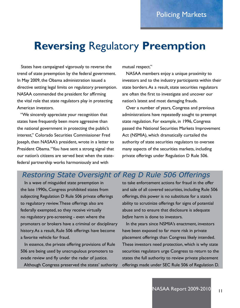# **Reversing** Regulatory **Preemption**

 States have campaigned vigorously to reverse the trend of state preemption by the federal government. In May 2009, the Obama administration issued a directive setting legal limits on regulatory preemption. NASAA commended the president for affirming the vital role that state regulators play in protecting American investors.

 "We sincerely appreciate your recognition that states have frequently been more aggressive than the national government in protecting the public's interest," Colorado Securities Commissioner Fred Joseph, then NASAA's president, wrote in a letter to President Obama. "You have sent a strong signal that our nation's citizens are served best when the statefederal partnership works harmoniously and with

mutual respect."

 NASAA members enjoy a unique proximity to investors and to the industry participants within their state borders. As a result, state securities regulators are often the first to investigate and uncover our nation's latest and most damaging frauds.

 Over a number of years, Congress and previous administrations have repeatedly sought to preempt state regulation. For example, in 1996, Congress passed the National Securities Markets Improvement Act (NSMIA), which dramatically curtailed the authority of state securities regulators to oversee many aspects of the securities markets, including private offerings under Regulation D Rule 506.

### *Restoring State Oversight of Reg D Rule 506 Offerings*

 In a wave of misguided state preemption in the late 1990s, Congress prohibited states from subjecting Regulation D Rule 506 private offerings to regulatory review. These offerings also are federally exempted, so they receive virtually no regulatory pre-screening - even where the promoters or brokers have a criminal or disciplinary history. As a result, Rule 506 offerings have become a favorite vehicle for fraud.

 In essence, the private offering provisions of Rule 506 are being used by unscrupulous promoters to evade review and fly under the radar of justice.

Although Congress preserved the states' authority

to take enforcement actions for fraud in the offer and sale of all covered securities, including Rule 506 offerings, this power is no substitute for a state's ability to scrutinize offerings for signs of potential abuse and to ensure that disclosure is adequate *before* harm is done to investors.

 In the years since NSMIA's enactment, investors have been exposed to far more risk in private placement offerings than Congress likely intended. These investors need protection, which is why state securities regulators urge Congress to return to the states the full authority to review private placement offerings made under SEC Rule 506 of Regulation D.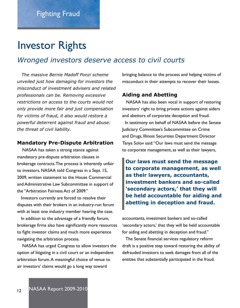# Investor Rights

### *Wronged investors deserve access to civil courts*

 *The massive Bernie Madoff Ponzi scheme unveiled just how damaging for investors the misconduct of investment advisers and related professionals can be. Removing excessive restrictions on access to the courts would not only provide more fair and just compensation for victims of fraud, it also would restore a powerful deterrent against fraud and abuse: the threat of civil liability.* 

#### **Mandatory Pre-Dispute Arbitration**

NASAA has taken a strong stance against mandatory pre-dispute arbitration clauses in brokerage contracts. The process is inherently unfair to investors, NASAA told Congress in a Sept. 15, 2009, written statement to the House Commercial and Administrative Law Subcommittee in support of the "Arbitration Fairness Act of 2009."

 Investors currently are forced to resolve their disputes with their brokers in an industry-run forum with at least one industry member hearing the case.

 In addition to the advantage of a friendly forum, brokerage firms also have significantly more resources to fight investor claims and much more experience navigating the arbitration process.

 NASAA has urged Congress to allow investors the option of litigating in a civil court or an independent arbitration forum. A meaningful choice of venue to air investors' claims would go a long way toward

bringing balance to the process and helping victims of misconduct in their attempts to recover their losses.

#### **Aiding and Abetting**

 NASAA has also been vocal in support of restoring investors' right to bring private actions against aiders and abettors of corporate deception and fraud. In testimony on behalf of NASAA before the Senate

Judiciary Committee's Subcommittee on Crime and Drugs, Illinois Securities Department Director Tanya Solov said: "Our laws must send the message to corporate management, as well as their lawyers,

**Our laws must send the message to corporate management, as well as their lawyers, accountants, investment bankers and so-called 'secondary actors,' that they will be held accountable for aiding and abetting in deception and fraud.**

accountants, investment bankers and so-called 'secondary actors,' that they will be held accountable for aiding and abetting in deception and fraud."

 The Senate financial services regulatory reform draft is a positive step toward restoring the ability of defrauded investors to seek damages from all of the entities that substantially participated in the fraud.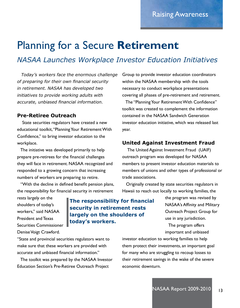# Planning for a Secure **Retirement**

*NASAA Launches Workplace Investor Education Initiatives*

 *Today's workers face the enormous challenge of preparing for their own financial security in retirement. NASAA has developed two initiatives to provide working adults with accurate, unbiased financial information.*

#### **Pre-Retiree Outreach**

State securities regulators have created a new educational toolkit, "Planning Your Retirement With Confidence," to bring investor education to the workplace.

 The initiative was developed primarily to help prepare pre-retirees for the financial challenges they will face in retirement. NASAA recognized and responded to a growing concern that increasing numbers of workers are preparing to retire.

 "With the decline in defined benefit pension plans, the responsibility for financial security in retirement

rests largely on the shoulders of today's workers," said NASAA President and Texas Securities Commissioner Denise Voigt Crawford.

**The responsibility for financial security in retirement rests largely on the shoulders of today's workers.**

"State and provincial securities regulators want to make sure that these workers are provided with accurate and unbiased financial information."

 The toolkit was prepared by the NASAA Investor Education Section's Pre-Retiree Outreach Project

Group to provide investor education coordinators within the NASAA membership with the tools necessary to conduct workplace presentations covering all phases of pre-retirement and retirement.

 The "Planning Your Retirement With Confidence" toolkit was created to complement the information contained in the NASAA Sandwich Generation investor education initiative, which was released last year.

#### **United Against Investment Fraud**

The United Against Investment Fraud (UAIF) outreach program was developed for NASAA members to present investor education materials to members of unions and other types of professional or trade associations.

 Originally created by state securities regulators in Hawaii to reach out locally to working families, the

> the program was revised by NASAA's Affinity and Military Outreach Project Group for use in any jurisdiction. The program offers

important and unbiased

investor education to working families to help them protect their investments, an important goal for many who are struggling to recoup losses to their retirement savings in the wake of the severe economic downturn.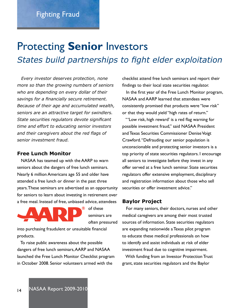# Protecting **Senior** Investors *States build partnerships to fight elder exploitation*

 *Every investor deserves protection, none more so than the growing numbers of seniors who are depending on every dollar of their savings for a financially secure retirement. Because of their age and accumulated wealth, seniors are an attractive target for swindlers. State securities regulators devote significant time and effort to educating senior investors and their caregivers about the red flags of senior investment fraud.*

#### **Free Lunch Monitor**

 NASAA has teamed up with the AARP to warn seniors about the dangers of free lunch seminars. Nearly 6 million Americans age 55 and older have attended a free lunch or dinner in the past three years. These seminars are advertised as an opportunity for seniors to learn about investing in retirement over a free meal. Instead of free, unbiased advice, attendees



of these seminars are often pressured

into purchasing fraudulent or unsuitable financial products.

 To raise public awareness about the possible dangers of free lunch seminars, AARP and NASAA launched the Free Lunch Monitor Checklist program in October 2008. Senior volunteers armed with the

checklist attend free lunch seminars and report their findings to their local state securities regulator.

 In the first year of the Free Lunch Monitor program, NASAA and AARP learned that attendees were consistently promised that products were "low risk" or that they would yield "high rates of return."

 "'Low risk, high reward' is a red flag warning for possible investment fraud," said NASAA President and Texas Securities Commissioner Denise Voigt Crawford. "Defrauding our senior population is unconscionable and protecting senior investors is a top priority of state securities regulators. I encourage all seniors to investigate before they invest in any offer served at a free lunch seminar. State securities regulators offer extensive employment, disciplinary and registration information about those who sell securities or offer investment advice."

#### **Baylor Project**

 For many seniors, their doctors, nurses and other medical caregivers are among their most trusted sources of information. State securities regulators are expanding nationwide a Texas pilot program to educate these medical professionals on how to identify and assist individuals at risk of elder investment fraud due to cognitive impairment.

 With funding from an Investor Protection Trust grant, state securities regulators and the Baylor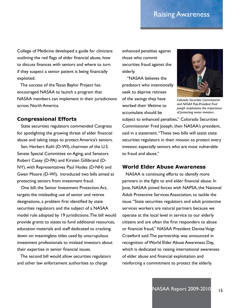### Raising Awareness

College of Medicine developed a guide for clinicians outlining the red flags of elder financial abuse, how to discuss finances with seniors and where to turn if they suspect a senior patient is being financially exploited.

 The success of the Texas Baylor Project has encouraged NASAA to launch a program that NASAA members can implement in their jurisdictions across North America.

#### **Congressional Efforts**

 State securities regulators commended Congress for spotlighting the growing threat of elder financial abuse and taking steps to protect America's seniors.

 Sen. Herbert Kohl (D-WI), chairman of the U.S. Senate Special Committee on Aging, and Senators Robert Casey (D-PA) and Kirsten Gillibrand (D-NY), with Representatives Paul Hodes (D-NH) and Gwen Moore (D-WI), introduced two bills aimed at protecting seniors from investment fraud.

 One bill, the Senior Investment Protection Act, targets the misleading use of senior and retiree designations, a problem first identified by state securities regulators and the subject of a NASAA model rule adopted by 19 jurisdictions. The bill would provide grants to states to fund additional resources, education materials and staff dedicated to cracking down on meaningless titles used by unscrupulous investment professionals to mislead investors about their expertise in senior financial issues.

 The second bill would allow securities regulators and other law enforcement authorities to charge

enhanced penalties against those who commit securities fraud against the elderly.

 "NASAA believes the predators who intentionally seek to deprive retirees of the savings they have worked their lifetime to accumulate should be



*Colorado Securities Commissioner and NASAA Past-President Fred Joseph emphasizes the importance of protecting senior investors.*

subject to enhanced penalties," Colorado Securities Commissioner Fred Joseph, then NASAA's president, said in a statement. "These two bills will assist state securities regulators in their mission to protect every investor, especially seniors who are most vulnerable to fraud and abuse."

#### **World Elder Abuse Awareness**

NASAA is continuing efforts to identify more partners in the fight to end elder financial abuse. In June, NASAA joined forces with NAPSA, the National Adult Protective Services Association, to tackle the issue. "State securities regulators and adult protective services workers are natural partners because we operate at the local level in service to our elderly citizens and are often the first responders to abuse or financial fraud," NASAA President Denise Voigt Crawford said. The partnership was announced in recognition of World Elder Abuse Awareness Day, which is dedicated to raising international awareness of elder abuse and financial exploitation and reinforcing a commitment to protect the elderly.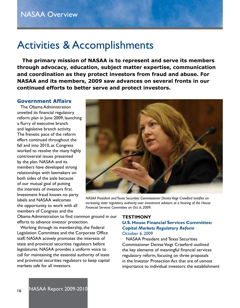# Activities & Accomplishments

 **The primary mission of NASAA is to represent and serve its members through advocacy, education, subject matter expertise, communication and coordination as they protect investors from fraud and abuse. For NASAA and its members, 2009 saw advances on several fronts in our continued efforts to better serve and protect investors.**

#### **Government Affairs**

 The Obama Administration unveiled its financial regulatory reform plan in June 2009, launching a flurry of executive branch and legislative branch activity. The frenetic pace of the reform effort continued throughout the fall and into 2010, as Congress worked to resolve the many highly controversial issues presented by the plan. NASAA and its members have developed strong relationships with lawmakers on both sides of the aisle because of our mutual goal of putting the interests of investors first. Investment fraud knows no party labels and NASAA welcomes the opportunity to work with all members of Congress and the



*NASAA President and Texas Securities Commissioner Denise Voigt Crawford testifies on increasing state regulatory authority over investment advisers at a hearing of the House Financial Services Committee on Oct. 6, 2009.*

Obama Administration to find common ground in our efforts to advance investor protection.

 Working through its membership, the Federal Legislation Committee and the Corporate Office staff, NASAA actively promotes the interests of state and provincial securities regulators before legislatures. NASAA provides a uniform voice to call for maintaining the essential authority of state and provincial securities regulators to keep capital markets safe for all investors.

#### **TESTIMONY U.S. House Financial Services Committee:** *Capital Markets Regulatory Reform* October 6, 2009

 NASAA President and Texas Securities Commissioner Denise Voigt Crawford outlined the key elements of meaningful financial services regulatory reform, focusing on three proposals in the Investor Protection Act that are of utmost importance to individual investors: the establishment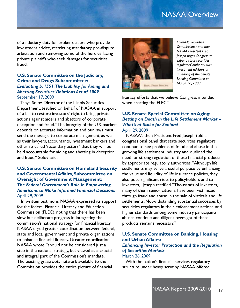### NASAA Overview

of a fiduciary duty for broker-dealers who provide investment advice, restricting mandatory pre-dispute arbitration and removing some of the hurdles facing private plaintiffs who seek damages for securities fraud.

#### **U.S. Senate Committee on the Judiciary, Crime and Drugs Subcommittee:**  *Evaluating S. 1551: The Liability for Aiding and Abetting Securities Violations Act of 2009* September 17, 2009

 Tanya Solov, Director of the Illinois Securities Department, testified on behalf of NASAA in support of a bill to restore investors' right to bring private actions against aiders and abettors of corporate deception and fraud. "The integrity of the U.S. markets depends on accurate information and our laws must send the message to corporate management, as well as their lawyers, accountants, investment bankers and other so-called 'secondary actors,' that they will be held accountable for aiding and abetting in deception and fraud," Solov said.

#### **U.S. Senate Committee on Homeland Security and Governmental Affairs, Subcommittee on Oversight of Government Management:** *The Federal Government's Role in Empowering Americans to Make Informed Financial Decisions* April 29, 2009

 In written testimony, NASAA expressed its support for the federal Financial Literacy and Education Commission (FLEC), noting that there has been slow but deliberate progress in integrating the commission's national strategy for financial literacy. NASAA urged greater coordination between federal, state and local government and private organizations to enhance financial literacy. Greater coordination, NASAA wrote, "should not be considered just a step in the national strategy, but viewed as a crucial and integral part of the Commission's mandate. The existing grassroots network available to the Commission provides the entire picture of financial



*Colorado Securities Commissioner and then-NASAA President Fred Joseph urges Congress to expand state securities regulators' authority over investment advisers at a hearing of the Senate Banking Committee on March 26, 2009.*

literacy efforts that we believe Congress intended when creating the FLEC."

#### **U.S. Senate Special Committee on Aging:** *Betting on Death in the Life Settlement Market – What's at Stake for Seniors?*

April 29, 2009

 NASAA's then-President Fred Joseph told a congressional panel that state securities regulators continue to see problems of fraud and abuse in the growing life settlement industry and outlined the need for strong regulation of these financial products by appropriate regulatory authorities. "Although life settlements may serve a useful purpose by enhancing the value and liquidity of life insurance policies, they also pose significant risks to policyholders and to investors," Joseph testified. "Thousands of investors, many of them senior citizens, have been victimized through fraud and abuse in the sale of viaticals and life settlements. Notwithstanding substantial successes by securities regulators in their enforcement actions, and higher standards among some industry participants, abuses continue and diligent oversight of these products remains necessary."

#### **U.S. Senate Committee on Banking, Housing and Urban Affairs:** *Enhancing Investor Protection and the Regulation of Securities Markets*  March 26, 2009

 With the nation's financial services regulatory structure under heavy scrutiny, NASAA offered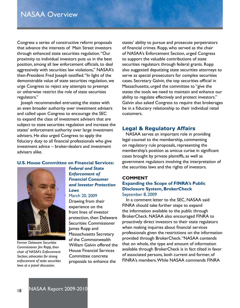Congress a series of constructive reform proposals that advance the interests of Main Street investors through enhanced state securities regulation. "Our proximity to individual investors puts us in the best position, among all law enforcement officials, to deal aggressively with securities law violations," NASAA's then-President Fred Joseph testified. "In light of the demonstrable value of state securities regulation, we urge Congress to reject any attempts to preempt or otherwise restrict the role of state securities regulators."

 Joseph recommended entrusting the states with an even broader authority over investment advisers and called upon Congress to encourage the SEC to expand the class of investment advisers that are subject to state securities regulation and increase the states' enforcement authority over large investment advisers. He also urged Congress to apply the fiduciary duty to all financial professionals who give investment advice – broker-dealers and investment advisers alike.

#### **U.S. House Committee on Financial Services:**



*Former Delaware Securities Commissioner Jim Ropp, then chair of NASAA's Enforcement Section, advocates for strong enforcement of state securities laws at a panel discussion.*

#### *Federal and State Enforcement of Financial Consumer and Investor Protection Laws*

#### March 20, 2009

 Drawing from their experience on the front lines of investor protection, then Delaware Securities Commissioner James Ropp and Massachusetts Secretary of the Commonwealth William Galvin offered the House Financial Services Committee concrete proposals to enhance the

states' ability to pursue and prosecute perpetrators of financial crimes. Ropp, who served as the chair of NASAA's Enforcement Section, urged Congress to support the valuable contributions of state securities regulators through federal grants. Ropp also suggested deputizing state securities attorneys to serve as special prosecutors for complex securities cases. Secretary Galvin, the top securities official in Massachusetts, urged the committee to "give the states the tools we need to maintain and enhance our ability to regulate effectively and protect investors." Galvin also asked Congress to require that brokerages be in a fiduciary relationship to their individual retail customers.

#### **Legal & Regulatory Affairs**

 NASAA serves an important role in providing legal counsel to the membership, commenting on regulatory rule proposals, representing the membership's position as amicus curiae in significant cases brought by private plaintiffs, as well as government regulators involving the interpretation of the securities laws and the rights of investors.

### **COMMENT**

#### **Expanding the Scope of FINRA's Public Disclosure System, BrokerCheck** September 8, 2009

 In a comment letter to the SEC, NASAA said FINRA should take further steps to expand the information available to the public through BrokerCheck. NASAA also encouraged FINRA to proactively direct investors to their state regulators when making inquiries about financial services professionals given the restrictions on the information provided through BrokerCheck. "NASAA contends that on whole, the type and amount of information available through BrokerCheck is in fact tilted in favor of associated persons, both current and former, of FINRA's members. While NASAA commends FINRA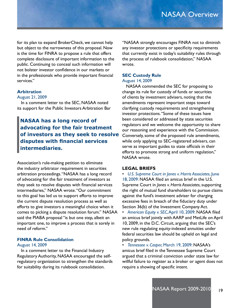for its plan to expand BrokerCheck, we cannot help but object to the narrowness of this proposal. Now is the time for FINRA to propose a rule that offers complete disclosure of important information to the public. Continuing to conceal such information will not bolster investor confidence in our markets or in the professionals who provide important financial services."

#### **Arbitration**

#### August 21, 2009

 In a comment letter to the SEC, NASAA noted its support for the Public Investors Arbitration Bar

**NASAA has a long record of advocating for the fair treatment of investors as they seek to resolve disputes with financial services intermediaries.**

Association's rule-making petition to eliminate the industry arbitrator requirement in securities arbitration proceedings. "NASAA has a long record of advocating for the fair treatment of investors as they seek to resolve disputes with financial services intermediaries," NASAA wrote. "Our commitment to this goal has led us to support efforts to improve the current dispute resolution process as well as efforts to give investors a meaningful choice when it comes to picking a dispute resolution forum." NASAA said the PIABA proposal "is but one step, albeit an important one, to improve a process that is sorely in need of reform."

#### **FINRA Rule Consolidation**

#### August 14, 2009

 In a comment letter to the Financial Industry Regulatory Authority, NASAA encouraged the selfregulatory organization to strengthen the standards for suitability during its rulebook consolidation.

"NASAA strongly encourages FINRA not to diminish any investor protections or specificity requirements that currently exist in today's suitability rules through the process of rulebook consolidation," NASAA wrote.

#### **SEC Custody Rule**

#### August 14, 2009

 NASAA commended the SEC for proposing to change its rule for custody of funds or securities of clients by investment advisers, noting that the amendments represent important steps toward clarifying custody requirements and strengthening investor protections. "Some of these issues have been considered or addressed by state securities regulators and we welcome the opportunity to share our reasoning and experience with the Commission. Conversely, some of the proposed rule amendments, while only applying to SEC-registered advisers, can serve as important guides to state officials in their efforts to promote strong and uniform regulation," NASAA wrote.

#### **LEGAL BRIEFS**

• *U.S. Supreme Court in Jones v. Harris Associates*, June 18, 2009: NASAA filed an amicus brief in the U.S. Supreme Court in *Jones v. Harris Associates*, supporting the right of mutual fund shareholders to pursue claims against the fund's investment adviser for charging excessive fees in breach of the fiduciary duty under Section 36(b) of the Investment Company Act.

• *American Equity v. SEC*, April 10, 2009: NASAA filed an amicus brief jointly with AARP and MetLife on April 10, 2009, in the D.C. Circuit, arguing that the SEC's new rule regulating equity-indexed annuities under federal securities law should be upheld on legal and policy grounds.

• *Tennessee v. Casper,* March 19, 2009: NASAA's amicus brief filed in the Tennessee Supreme Court argued that a criminal conviction under state law for willful failure to register as a broker or agent does not require a showing of specific intent.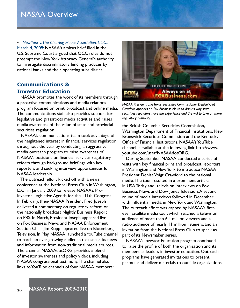• *New York v. The Clearing House Association, L.L.C.,*  March 4, 2009: NASAA's amicus brief filed in the U.S. Supreme Court argued that OCC rules do not preempt the New York Attorney General's authority to investigate discriminatory lending practices by national banks and their operating subsidiaries.

#### **Communications & Investor Education**

 NASAA promotes the work of its members through a proactive communications and media relations program focused on print, broadcast and online media. The communications staff also provides support for legislative and grassroots media activities and raises media awareness of the value of state and provincial securities regulation.

 NASAA's communications team took advantage of the heightened interest in financial services regulation throughout the year by conducting an aggressive media outreach program to raise awareness of NASAA's positions on financial services regulatory reform through background briefings with key reporters and seeking interview opportunities for NASAA leadership.

 The outreach effort kicked off with a news conference at the National Press Club in Washington, D.C., in January 2009 to release NASAA's Pro-Investor Legislative Agenda for the 111th Congress. In February, then-NASAA President Fred Joseph delivered a commentary on regulatory reform on the nationally broadcast Nightly Business Report on PBS. In March, President Joseph appeared live on Fox Business News and NASAA Enforcement Section Chair Jim Ropp appeared live on Bloomberg Television. In May, NASAA launched a YouTube channel to reach an ever-growing audience that seeks its news and information from non-traditional media sources. The channel, NASAAdotORG, provides a blend of investor awareness and policy videos, including NASAA congressional testimony. The channel also links to YouTube channels of four NASAA members:



*NASAA President and Texas Securities Commissioner Denise Voigt Crawford appears on Fox Business News to discuss why state securities regulators have the experience and the will to take on more regulatory authority.*

the British Columbia Securities Commission, Washington Department of Financial Institutions, New Brunswick Securities Commission and the Kentucky Office of Financial Institutions. NASAA's YouTube channel is available at the following link: http://www. youtube.com/user/NASAAdotORG.

 During September, NASAA conducted a series of visits with key financial print and broadcast reporters in Washington and New York to introduce NASAA President Denise Voigt Crawford to the national media. The tour resulted in a prominent article in USA Today and television interviews on Fox Business News and Dow Jones Television. A second round of media interviews followed in December with influential media in New York and Washington. The outreach effort was capped by NASAA's firstever satellite media tour, which reached a television audience of more than 6.4 million viewers and a radio audience of nearly 11 million listeners, and an invitation from the National Press Club to speak as part of its Newsmaker series.

 NASAA's Investor Education program continued to raise the profile of both the organization and its members as leaders in investor education. Outreach programs have generated invitations to present, partner and deliver materials to outside organizations.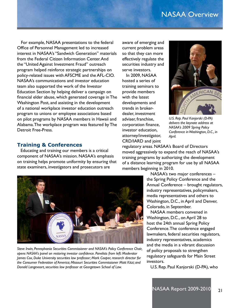### NASAA Overview

 For example, NASAA presentations to the federal Office of Personnel Management led to increased interest in NASAA's "Sandwich Generation" materials from the Federal Citizen Information Center. And the "United Against Investment Fraud" outreach program helped reinforce strategic partnerships on policy-related issues with AFSCME and the AFL-CIO. NASAA's communications and investor education team also supported the work of the Investor Education Section by helping deliver a campaign on financial elder abuse, which generated coverage in The Washington Post, and assisting in the development of a national workplace investor education outreach program to unions or employee associations based on pilot programs by NASAA members in Hawaii and Alabama. The workplace program was featured by The Detroit Free-Press.

#### **Training & Conferences**

 Educating and training our members is a critical component of NASAA's mission. NASAA's emphasis on training helps promote uniformity by ensuring that state examiners, investigators and prosecutors are

aware of emerging and current problem areas so that they can more effectively regulate the securities industry and serve investors.

 In 2009, NASAA hosted a series of training seminars to provide members with the latest developments and trends in brokerdealer, investment adviser, franchise, corporation finance, investor education, attorney/investigator, CRD/IARD and joint



*U.S. Rep. Paul Kanjorski (D-PA) delivers the keynote address at NASAA's 2009 Spring Policy Conference in Washington, D.C., in April.*

regulatory areas. NASAA's Board of Directors moved aggressively to expand the reach of NASAA's training programs by authorizing the development of a distance learning program for use by all NASAA members beginning in 2010.



*Steve Irwin, Pennsylvania Securities Commissioner and NASAA's Policy Conference Chair, opens NASAA's panel on restoring investor confidence. Panelists from left: Moderator James Cox, Duke University securities law professor; Mark Cooper, research director for the Consumer Federation of America; Missouri Securities Commissioner Matt Kitzi; and Donald Langevoort, securities law professor at Georgetown School of Law.*

 NASAA's two major conferences – the Spring Policy Conference and the Annual Conference – brought regulators, industry representatives, policymakers, media representatives and others to Washington, D.C., in April and Denver, Colorado, in September.

 NASAA members convened in Washington, D.C., on April 28 to host the 24th annual Spring Policy Conference. The conference engaged lawmakers, federal securities regulators, industry representatives, academics and the media in a vibrant discussion of policy proposals to strengthen regulatory safeguards for Main Street investors.

U.S. Rep. Paul Kanjorski (D-PA), who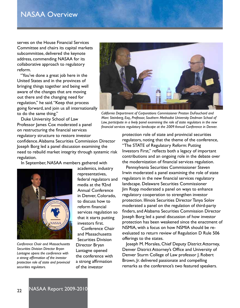serves on the House Financial Services Committee and chairs its capital markets subcommittee, delivered the keynote address, commending NASAA for its collaborative approach to regulatory reform.

 "You've done a great job here in the United States and in the provinces of bringing things together and being well aware of the changes that are moving out there and the changing need for regulation," he said. "Keep that process going forward, and join us all internationally to do the same thing."

*California Department of Corporations Commissioner Preston DuFauchard and* 

 Duke University School of Law Professor James Cox moderated a panel on restructuring the financial services regulatory structure to restore investor confidence. Alabama Securities Commission Director Joseph Borg led a panel discussion examining the need to rebuild market integrity through systemic risk *Marc Steinberg, Esq., Professor, Southern Methodist University Dedman School of Law, participate in a lively panel examining the role of state regulators in the new financial services regulatory landscape at the 2009 Annual Conference in Denver.*

In September, NASAA members gathered with



*Conference Chair and Massachusetts Securities Division Director Bryan Lantagne opens the conference with a strong affirmation of the investor protection role of state and provincial securities regulators.*

academics, industry representatives, federal regulators and media at the 92nd Annual Conference in Denver, Colorado, to discuss how to reform financial services regulation so that it starts putting investors first.

 Conference Chair and Massachusetts Securities Division Director Bryan Lantagne opened the conference with a strong affirmation of the investor

protection role of state and provincial securities regulators, noting that the theme of the conference, "The STATE of Regulatory Reform: Putting Investors First," reflects both a legacy of important contributions and an ongoing role in the debate over the modernization of financial services regulation.

 Pennsylvania Securities Commissioner Steven Irwin moderated a panel examining the role of state regulators in the new financial services regulatory landscape. Delaware Securities Commissioner Jim Ropp moderated a panel on ways to enhance regulatory cooperation to strengthen investor protection. Illinois Securities Director Tanya Solov moderated a panel on the regulation of third-party finders, and Alabama Securities Commission Director Joseph Borg led a panel discussion of how investor protection has been weakened since the enactment of NSMIA, with a focus on how NSMIA should be reevaluated to return review of Regulation D Rule 506 offerings to the states.

 Joseph M. Morales, Chief Deputy District Attorney, Denver District Attorney's Office and University of Denver Sturm College of Law professor J. Robert Brown, Jr. delivered passionate and compelling remarks as the conference's two featured speakers.



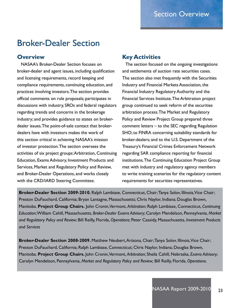### Broker-Dealer Section

#### **Overview**

 NASAA's Broker-Dealer Section focuses on broker-dealer and agent issues, including qualification and licensing requirements, record keeping and compliance requirements, continuing education, and practices involving investors. The section provides official comments on rule proposals; participates in discussions with industry, SROs and federal regulators regarding trends and concerns in the brokerage industry; and provides guidance to states on brokerdealer issues. The point-of-sale contact that brokerdealers have with investors makes the work of this section critical in achieving NASAA's mission of investor protection. The section oversees the activities of six project groups: Arbitration, Continuing Education, Exams Advisory, Investment Products and Services, Market and Regulatory Policy and Review, and Broker-Dealer Operations, and works closely with the CRD/IARD Steering Committee.

#### **Key Activities**

 The section focused on the ongoing investigations and settlements of auction rate securities cases. The section also met frequently with the Securities Industry and Financial Markets Association, the Financial Industry Regulatory Authority and the Financial Services Institute. The Arbitration project group continued to seek reform of the securities arbitration process. The Market and Regulatory Policy and Review Project Group prepared three comment letters – to the SEC regarding Regulation SHO; to FINRA concerning suitability standards for broker-dealers; and to the U.S. Department of the Treasury's Financial Crimes Enforcement Network regarding SAR compliance reporting for financial institutions. The Continuing Education Project Group met with industry and regulatory agency members to write training scenarios for the regulatory content requirements for securities representatives.

**Broker-Dealer Section 2009-2010.** Ralph Lambiase, Connecticut, Chair; Tanya Solov, Illinois, Vice Chair; Preston DuFauchard, California; Bryan Lantagne, Massachusetts; Chris Naylor, Indiana; Douglas Brown, Manitoba. **Project Group Chairs.** John Cronin, Vermont, *Arbitration*; Ralph Lambiase, Connecticut, *Continuing Education*; William Cahill, Massachusetts, *Broker-Dealer Exams Advisory*; Carolyn Mendelson, Pennsylvania, *Market and Regulatory Policy and Review*; Bill Reilly, Florida, *Operations*; Peter Cassidy, Masaachusetts, *Investment Products and Services*

**Broker-Dealer Section 2008-2009.** Matthew Neubert, Arizona, Chair; Tanya Solov, Illinois, Vice Chair; Preston DuFauchard, California; Ralph Lambiase, Connecticut; Chris Naylor, Indiana; Douglas Brown, Manitoba. **Project Group Chairs.** John Cronin, Vermont, *Arbitration*; Sheila Cahill, Nebraska, *Exams Advisory*; Carolyn Mendelson, Pennsylvania, *Market and Regulatory Policy and Review;* Bill Reilly, Florida, *Operations*.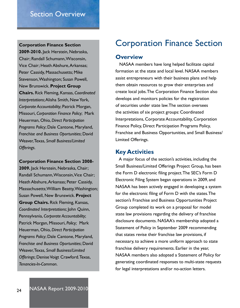### Section Overview

**2009-2010.** Jack Herstein, Nebraska, Chair; Randall Schumann, Wisconsin, Vice Chair; Heath Abshure, Arkansas; Peter Cassidy, Massachusetts; Mike Stevenson, Washington; Susan Powell, New Brunswick. **Project Group Chairs.** Rick Fleming, Kansas, *Coordinated Interpretations*; Alisha Smith, New York, *Corporate Accountability*; Patrick Morgan, Missouri, *Corporation Finance Policy*; Mark Heuerman, Ohio, *Direct Participation Programs Policy*; Dale Cantone, Maryland, *Franchise and Business Oportunities*; David Weaver, Texas, *Small Business/Limited Offerings.*

**Corporation Finance Section 2008-**

**2009.** Jack Herstein, Nebraska, Chair; Randall Schumann, Wisconsin, Vice Chair; Heath Abshure, Arkansas; Peter Cassidy, Massachusetts; William Beatty, Washington; Susan Powell, New Brunswick. **Project Group Chairs.** Rick Fleming, Kansas, *Coordinated Interpretations*; John Quinn, Pennsylvania, *Corporate Accountability*; Patrick Morgan, Missouri, *Policy;* Mark Heuerman, Ohio, *Direct Participation Programs Policy*; Dale Cantone, Maryland, *Franchise and Business Oportunities*; David Weaver, Texas, *Small Business/Limited Offerings*; Denise Voigt Crawford. Texas, *Tenancies-In-Common*.

### **Corporation Finance Section** Corporation Finance Section

#### **Overview**

 NASAA members have long helped facilitate capital formation at the state and local level. NASAA members assist entrepreneurs with their business plans and help them obtain resources to grow their enterprises and create local jobs. The Corporation Finance Section also develops and monitors policies for the registration of securities under state law. The section oversees the activities of six project groups: Coordinated Interpretations, Corporate Accountability, Corporation Finance Policy, Direct Participation Programs Policy, Franchise and Business Opportunities, and Small Business/ Limited Offerings.

#### **Key Activities**

 A major focus of the section's activities, including the Small Business/Limited Offerings Project Group, has been the Form D electronic filing project. The SEC's Form D Electronic Filing System began operations in 2009, and NASAA has been actively engaged in developing a system for the electronic filing of Form D with the states. The section's Franchise and Business Opportunities Project Group completed its work on a proposal for model state law provisions regarding the delivery of franchise disclosure documents. NASAA's membership adopted a Statement of Policy in September 2009 recommending that states revise their franchise law provisions, if necessary, to achieve a more uniform approach to state franchise delivery requirements. Earlier in the year, NASAA members also adopted a Statement of Policy for generating coordinated responses to multi-state requests for legal interpretations and/or no-action letters.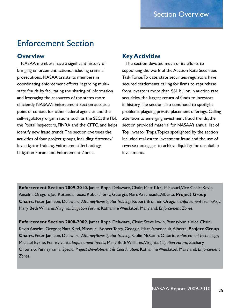### Enforcement Section

#### **Overview**

 NASAA members have a significant history of bringing enforcement actions, including criminal prosecutions. NASAA assists its members in coordinating enforcement efforts regarding multistate frauds by facilitating the sharing of information and leveraging the resources of the states more efficiently. NASAA's Enforcement Section acts as a point of contact for other federal agencies and the self-regulatory organizations, such as the SEC, the FBI, the Postal Inspectors, FINRA and the CFTC, and helps identify new fraud trends. The section oversees the activities of four project groups, including: Attorney/ Investigator Training, Enforcement Technology, Litigation Forum and Enforcement Zones.

#### **Key Activities**

 The section devoted much of its efforts to supporting the work of the Auction Rate Securities Task Force. To date, state securities regulators have secured settlements calling for firms to repurchase from investors more than \$61 billion in auction rate securities, the largest return of funds to investors in history. The section also continued to spotlight problems plaguing private placement offerings. Calling attention to emerging investment fraud trends, the section provided material for NASAA's annual list of Top Investor Traps. Topics spotlighted by the section included real estate investment fraud and the use of reverse mortgages to achieve liquidity for unsuitable investments.

**Enforcement Section 2009-2010.** James Ropp, Delaware, Chair; Matt Kitzi, Missouri, Vice Chair; Kevin Anselm, Oregon; Joe Rotunda, Texas; Robert Terry, Georgia; Marc Arseneault, Alberta. **Project Group Chairs.** Peter Jamison, Delaware, *Attorney/Investigator Training*; Robert Brunner, Oregon, *Enforcement Technology*; Mary Beth Williams, Virginia, *Litigation Forum*; Katharine Weiskittel, Maryland, *Enforcement Zones.*

**Enforcement Section 2008-2009.** James Ropp, Delaware, Chair; Steve Irwin, Pennsylvania, Vice Chair; Kevin Anselm, Oregon; Matt Kitzi, Missouri; Robert Terry, Georgia; Marc Arseneault, Alberta. **Project Group Chairs.** Peter Jamison, Delaware, *Attorney/Investigator Training*; Colin McCann, Ontario, *Enforcement Technology*; Michael Byrne, Pennsylvania, *Enforcement Trends*; Mary Beth Williams, Virginia, *Litigation Forum*; Zachary Ortenzio, Pennsylvania, *Special Project Development & Coordination*; Katharine Weiskittel, Maryland, *Enforcement Zones.*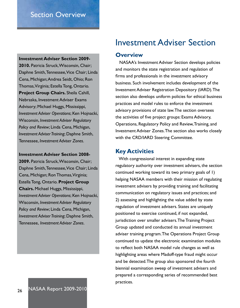#### **Investment Adviser Section 2009-**

**2010.** Patricia Struck, Wisconsin, Chair; Daphne Smith, Tennessee, Vice Chair; Linda Cena, Michigan; Andrea Seidt, Ohio; Ron Thomas, Virginia; Estella Tong, Ontario. **Project Group Chairs.** Sheila Cahill, Nebraska, Investment Adviser Exams Advisory; Michael Huggs, Mississippi, *Investment Adviser Operations*; Ken Hojnacki, Wisconsin, *Investment Adviser Regulatory Policy and Review*; Linda Cena, Michigan, *Investment Adviser Training*; Daphne Smith, Tennessee, *Investment Adviser Zones*.

**Investment Adviser Section 2008-**

**2009.** Patricia Struck, Wisconsin, Chair; Daphne Smith, Tennessee, Vice Chair; Linda Cena, Michigan; Ron Thomas, Virginia; Estella Tong, Ontario. **Project Group Chairs.** Michael Huggs, Mississippi, *Investment Adviser Operations*; Ken Hojnacki, Wisconsin, *Investment Adviser Regulatory Policy and Review*; Linda Cena, Michigan, *Investment Adviser Training*; Daphne Smith, Tennessee, *Investment Adviser Zones*.

### Investment Adviser Section

#### **Overview**

 NASAA's Investment Adviser Section develops policies and monitors the state registration and regulation of firms and professionals in the investment advisory business. Such involvement includes development of the Investment Adviser Registration Depository (IARD). The section also develops uniform policies for ethical business practices and model rules to enforce the investment advisory provisions of state law. The section oversees the activities of five project groups: Exams Advisory, Operations, Regulatory Policy and Review, Training, and Investment Adviser Zones. The section also works closely with the CRD/IARD Steering Committee.

#### **Key Activities**

 With congressional interest in expanding state regulatory authority over investment advisers, the section continued working toward its two primary goals of 1) helping NASAA members with their mission of regulating investment advisers by providing training and facilitating communication on regulatory issues and practices; and 2) assessing and highlighting the value added by state regulation of investment advisers. States are uniquely positioned to exercise continued, if not expanded, jurisdiction over smaller advisers. The Training Project Group updated and conducted its annual investment adviser training program. The Operations Project Group continued to update the electronic examination modules to reflect both NASAA model rule changes as well as highlighting areas where Madoff-type fraud might occur and be detected. The group also sponsored the fourth biennial examination sweep of investment advisers and prepared a corresponding series of recommended best practices.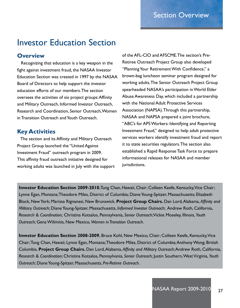### Investor Education Section

#### **Overview**

 Recognizing that education is a key weapon in the fight against investment fraud, the NASAA Investor Education Section was created in 1997 by the NASAA Board of Directors to help support the investor education efforts of our members. The section oversees the activities of six project groups: Affinity and Military Outreach, Informed Investor Outreach, Research and Coordination, Senior Outreach, Women in Transition Outreach and Youth Outreach.

#### **Key Activities**

 The section and its Affinity and Military Outreach Project Group launched the "United Against Investment Fraud" outreach program in 2009. This affinity fraud outreach initiative designed for working adults was launched in July with the support

of the AFL-CIO and AFSCME. The section's Pre-Retiree Outreach Project Group also developed "Planning Your Retirement With Confidence," a brown-bag luncheon seminar program designed for working adults. The Senior Outreach Project Group spearheaded NASAA's participation in World Elder Abuse Awareness Day, which included a partnership with the National Adult Protective Services Association (NAPSA). Through this partnership, NASAA and NAPSA prepared a joint brochure, "ABC's for APS Workers: Identifying and Reporting Investment Fraud," designed to help adult protective services workers identify investment fraud and report it to state securities regulators. The section also established a Rapid Response Task Force to prepare informational releases for NASAA and member jurisdictions.

**Investor Education Section 2009-2010.**Tung Chan, Hawaii, Chair; Colleen Keefe, Kentucky, Vice Chair; Lynne Egan, Montana; Theodore Miles, District of Columbia; Diane Young-Spitzer, Massachusetts; Elizabeth Block, New York; Marissa Rignanesi, New Brunswick. **Project Group Chairs.** Dan Lord, Alabama, *Affinity and Military Outreach*; Diane Young-Spitzer, Massachusetts, *Informed Investor Outreach*; Andrew Roth, California, *Research & Coordination;* Christina Kotsalos, Pennsylvania, *Senior Outreach*; Vickie Moseley, Illinois, *Youth Outreach*; Gena Wilimitis, New Mexico, *Women in Transition Outreach*.

**Investor Education Section 2008-2009.** Bruce Kohl, New Mexico, Chair; Colleen Keefe, Kentucky, Vice Chair; Tung Chan, Hawaii; Lynne Egan, Montana; Theodore Miles, District of Columbia; Anthony Wong; British Columbia. **Project Group Chairs.** Dan Lord, Alabama, *Affinity and Military Outreach*; Andrew Roth, California, *Research & Coordination*; Christina Kotsalos, Pennsylvania, *Senior Outreach*; Justin Southern, West Virginia, *Youth Outreach*; Diane Young-Spitzer, Massachusetts, *Pre-Retiree Outreach*.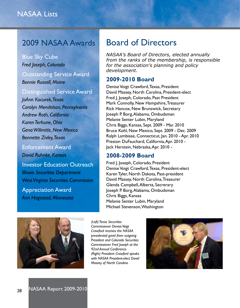### 2009 NASAA Awards

Blue Sky Cube *Fred Joseph, Colorado* Outstanding Service Award *Bonnie Russell, Maine*

Distinguished Service Award

*JoAnn Kocurek, Texas Carolyn Mendelson, Pennsylvania Andrew Roth, California Karen Terhune, Ohio Gena Wilimitis, New Mexico Bennette Zivley, Texas*

Enforcement Award *David Ruhnke, Kansas*

Investor Education Outreach *Illinois Securities Department West Virginia Securities Commission*

Appreciation Award *Ann Hagestad, Minnesota*

### Board of Directors

*NASAA's Board of Directors, elected annually from the ranks of the membership, is responsible for the association's planning and policy development.* 

#### **2009-2010 Board**

Denise Voigt Crawford, Texas, President David Massey, North Carolina, President-elect Fred J. Joseph, Colorado, Past President Mark Connolly, New Hampshire, Treasurer Rick Hancox, New Brunswick, Secretary Joseph P. Borg, Alabama, Ombudsman Melanie Senter Lubin, Maryland Chris Biggs, Kansas, Sept. 2009 - Mar. 2010 Bruce Kohl, New Mexico, Sept. 2009 - Dec. 2009 Ralph Lambiase, Connecticut, Jan. 2010 - Apr. 2010 Preston DuFauchard, California, Apr. 2010 - Jack Herstein, Nebraska, Apr. 2010 -

#### **2008-2009 Board**

Fred J. Joseph, Colorado, President Denise Voigt Crawford, Texas, President-elect Karen Tyler, North Dakota, Past-president David Massey, North Carolina, Treasurer Glenda Campbell, Alberta, Secrerary Joseph P. Borg, Alabama, Ombudsman Chris Biggs, Kansas Melanie Senter Lubin, Maryland Michael Stevenson, Washington



*(Left) Texas Securities Commissioner Denise Voigt Crawford receives the NASAA presidential gavel from outgoing President and Colorado Securities Commissioner Fred Joseph at the 92nd Annual Conference. (Right) President Crawford speaks with NASAA President-elect David Massey of North Carolina.*

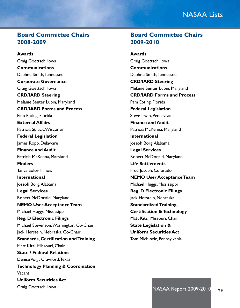### NASAA Lists

#### **Board Committee Chairs 2008-2009**

**Awards**  Craig Goettsch, Iowa **Communications** Daphne Smith, Tennessee **Corporate Governance** Craig Goettsch, Iowa **CRD/IARD Steering** Melanie Senter Lubin, Maryland **CRD/IARD Forms and Process** Pam Epting, Florida **External Affairs** Patricia Struck, Wisconsin **Federal Legislation** James Ropp, Delaware **Finance and Audit** Patricia McKenna, Maryland **Finders** Tanya Solov, Illinois **International** Joseph Borg, Alabama **Legal Services** Robert McDonald, Maryland **NEMO User Acceptance Team** Michael Huggs, Mississippi **Reg. D Electronic Filings** Michael Stevenson, Washington, Co-Chair Jack Herstein, Nebraska, Co-Chair **Standards, Certification and Training** Matt Kitzi, Missouri, Chair **State / Federal Relations** Denise Voigt Crawford, Texas **Technology Planning & Coordination** Vacant **Uniform Securities Act**

Craig Goettsch, Iowa

**Board Committee Chairs 2009-2010**

**Awards**  Craig Goettsch, Iowa **Communications** Daphne Smith, Tennessee **CRD/IARD Steering** Melanie Senter Lubin, Maryland **CRD/IARD Forms and Process** Pam Epting, Florida **Federal Legislation** Steve Irwin, Pennsylvania **Finance and Audit** Patricia McKenna, Maryland **International** Joseph Borg, Alabama **Legal Services** Robert McDonald, Maryland **Life Settlements** Fred Joseph, Colorado **NEMO User Acceptance Team** Michael Huggs, Mississippi **Reg. D Electronic Filings** Jack Herstein, Nebraska **Standardized Training, Certification & Technology** Matt Kitzi, Missouri, Chair **State Legislation & Uniform Securities Act** Tom Michlovic, Pennsylvania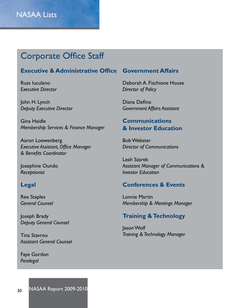### Corporate Office Staff

#### **Executive & Administrative Office**

Russ Iuculano *Executive Director*

John H. Lynch *Deputy Executive Director*

Gina Haidle *Membership Services & Finance Manager*

Aaron Loewenberg *Executive Assistant, Office Manager & Benefits Coordinator*

Josephine Oundo *Receptionist*

#### **Legal**

Rex Staples *General Counsel*

Joseph Brady *Deputy General Counsel*

Tina Stavrou *Assistant General Counsel*

Faye Gordon *Paralegal*

#### **Government Affairs**

Deborah A. Fischione House *Director of Policy* 

Diana Defino *Government Affairs Assistant*

#### **Communications & Investor Education**

Bob Webster *Director of Communications*

Leah Szarek *Assistant Manager of Communications & Investor Education*

#### **Conferences & Events**

Lonnie Martin *Membership & Meetings Manager*

#### **Training & Technology**

Jason Wolf *Training & Technology Manager*

30 NASAA Report 2009-2010